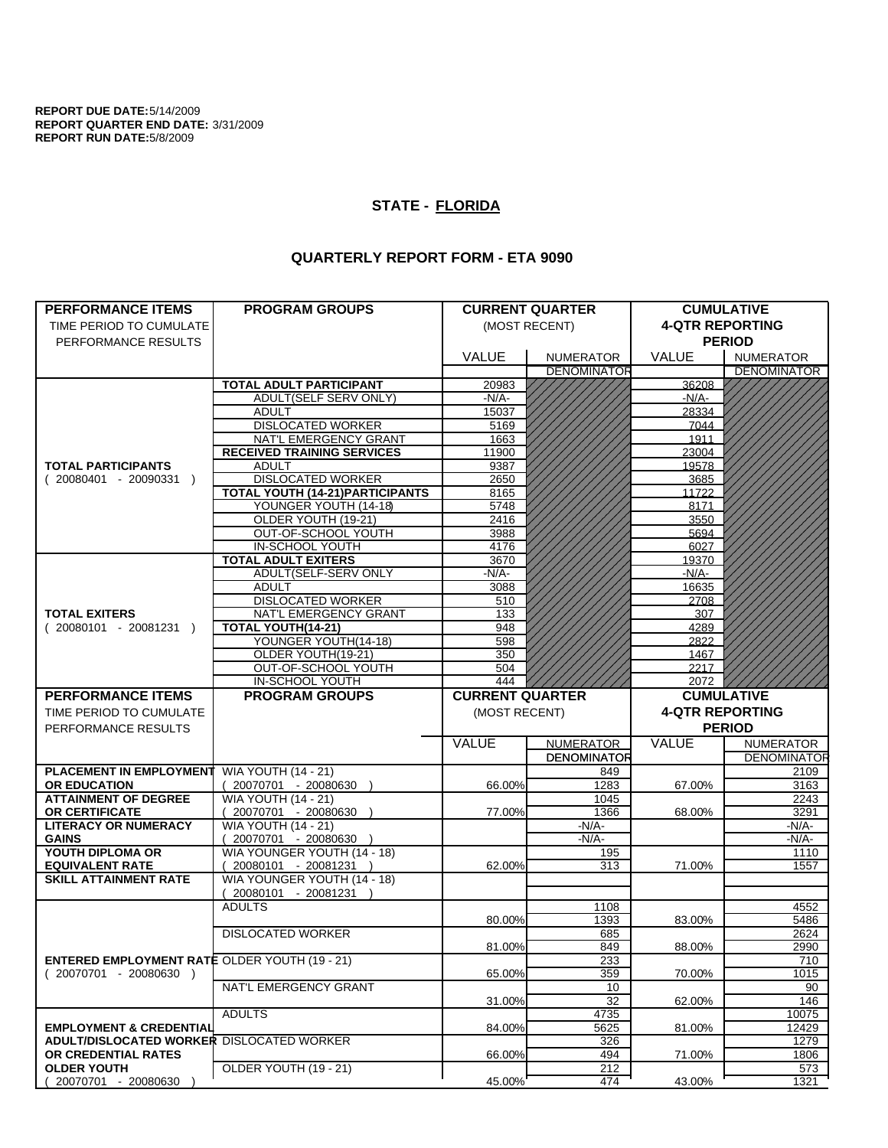**REPORT DUE DATE:**5/14/2009 **REPORT QUARTER END DATE:** 3/31/2009 **REPORT RUN DATE:**5/8/2009

## **STATE - FLORIDA**

## **QUARTERLY REPORT FORM - ETA 9090**

| <b>PERFORMANCE ITEMS</b>                                                        | <b>PROGRAM GROUPS</b>                  |                        | <b>CURRENT QUARTER</b>                 |                        | <b>CUMULATIVE</b>  |  |
|---------------------------------------------------------------------------------|----------------------------------------|------------------------|----------------------------------------|------------------------|--------------------|--|
| TIME PERIOD TO CUMULATE                                                         |                                        |                        | (MOST RECENT)                          | <b>4-QTR REPORTING</b> |                    |  |
| PERFORMANCE RESULTS                                                             |                                        |                        |                                        | <b>PERIOD</b>          |                    |  |
|                                                                                 |                                        | <b>VALUE</b>           |                                        | <b>VALUE</b>           | <b>NUMERATOR</b>   |  |
|                                                                                 |                                        |                        | <b>NUMERATOR</b><br><b>DENOMINATOR</b> |                        | <b>DENOMINATOR</b> |  |
|                                                                                 | <b>TOTAL ADULT PARTICIPANT</b>         | 20983                  |                                        | 36208                  |                    |  |
|                                                                                 | ADULT(SELF SERV ONLY)                  | -N/A-                  |                                        | $-N/A-$                |                    |  |
|                                                                                 | <b>ADULT</b>                           | 15037                  |                                        | 28334                  |                    |  |
|                                                                                 | <b>DISLOCATED WORKER</b>               | 5169                   |                                        | 7044                   |                    |  |
|                                                                                 | NAT'L EMERGENCY GRANT                  | 1663                   |                                        | 1911                   |                    |  |
|                                                                                 | <b>RECEIVED TRAINING SERVICES</b>      | 11900                  |                                        | 23004                  |                    |  |
| <b>TOTAL PARTICIPANTS</b>                                                       | <b>ADULT</b>                           | 9387                   |                                        | 19578                  |                    |  |
| $(20080401 - 20090331)$                                                         | <b>DISLOCATED WORKER</b>               | 2650                   |                                        | 3685                   |                    |  |
|                                                                                 | <b>TOTAL YOUTH (14-21)PARTICIPANTS</b> | 8165                   |                                        | 11722                  |                    |  |
|                                                                                 | YOUNGER YOUTH (14-18)                  | 5748                   |                                        | 8171                   |                    |  |
|                                                                                 | OLDER YOUTH (19-21)                    | 2416                   |                                        | 3550                   |                    |  |
|                                                                                 | OUT-OF-SCHOOL YOUTH                    | 3988                   |                                        | 5694                   |                    |  |
|                                                                                 | IN-SCHOOL YOUTH                        | 4176                   |                                        | 6027                   |                    |  |
|                                                                                 | <b>TOTAL ADULT EXITERS</b>             | 3670                   |                                        | 19370                  |                    |  |
|                                                                                 | ADULT(SELF-SERV ONLY                   | -N/A-                  |                                        | $-N/A$ -               |                    |  |
|                                                                                 | <b>ADULT</b>                           | 3088                   |                                        | 16635                  |                    |  |
|                                                                                 | <b>DISLOCATED WORKER</b>               | 510                    |                                        | 2708                   |                    |  |
| <b>TOTAL EXITERS</b>                                                            | NAT'L EMERGENCY GRANT                  | 133                    |                                        | 307                    |                    |  |
| $(20080101 - 20081231)$                                                         | TOTAL YOUTH(14-21)                     | 948                    |                                        | 4289                   |                    |  |
|                                                                                 | YOUNGER YOUTH(14-18)                   | 598                    |                                        | 2822                   |                    |  |
|                                                                                 | OLDER YOUTH(19-21)                     | 350                    |                                        | 1467                   |                    |  |
|                                                                                 | OUT-OF-SCHOOL YOUTH<br>IN-SCHOOL YOUTH | 504<br>444             |                                        | 2217<br>2072           |                    |  |
|                                                                                 |                                        |                        |                                        |                        |                    |  |
|                                                                                 |                                        |                        |                                        |                        |                    |  |
| <b>PERFORMANCE ITEMS</b>                                                        | <b>PROGRAM GROUPS</b>                  | <b>CURRENT QUARTER</b> |                                        |                        | <b>CUMULATIVE</b>  |  |
| TIME PERIOD TO CUMULATE                                                         |                                        | (MOST RECENT)          |                                        | <b>4-QTR REPORTING</b> |                    |  |
| PERFORMANCE RESULTS                                                             |                                        |                        |                                        |                        | <b>PERIOD</b>      |  |
|                                                                                 |                                        | VALUE                  | <b>NUMERATOR</b>                       | <b>VALUE</b>           | <b>NUMERATOR</b>   |  |
|                                                                                 |                                        |                        | <b>DENOMINATOR</b>                     |                        |                    |  |
| <b>PLACEMENT IN EMPLOYMENT</b>                                                  | <b>WIA YOUTH (14 - 21)</b>             |                        | 849                                    |                        | 2109               |  |
| <b>OR EDUCATION</b>                                                             | 20070701 - 20080630 )                  | 66.00%                 | 1283                                   | 67.00%                 | 3163               |  |
| <b>ATTAINMENT OF DEGREE</b>                                                     | <b>WIA YOUTH (14 - 21)</b>             |                        | 1045                                   |                        | 2243               |  |
| OR CERTIFICATE                                                                  | 20070701 - 20080630 )                  | 77.00%                 | 1366                                   | 68.00%                 | 3291               |  |
| <b>LITERACY OR NUMERACY</b>                                                     | <b>WIA YOUTH (14 - 21)</b>             |                        | -N/A-                                  |                        | -N/A-              |  |
| <b>GAINS</b>                                                                    | 20070701 - 20080630 )                  |                        | $-N/A$ -                               |                        | -N/A-              |  |
| YOUTH DIPLOMA OR                                                                | WIA YOUNGER YOUTH (14 - 18)            |                        | 195                                    |                        | 1110               |  |
| <b>EQUIVALENT RATE</b>                                                          | 20080101 - 20081231 )                  | 62.00%                 | 313                                    | 71.00%                 | 1557               |  |
| <b>SKILL ATTAINMENT RATE</b>                                                    | WIA YOUNGER YOUTH (14 - 18)            |                        |                                        |                        |                    |  |
|                                                                                 | $(20080101 - 20081231)$                |                        |                                        |                        | <b>DENOMINATOR</b> |  |
|                                                                                 | <b>ADULTS</b>                          |                        | 1108                                   |                        | 4552               |  |
|                                                                                 |                                        | 80.00%                 | 1393                                   | 83.00%                 | 5486               |  |
|                                                                                 | <b>DISLOCATED WORKER</b>               |                        | 685                                    |                        | 2624               |  |
|                                                                                 |                                        | 81.00%                 | 849                                    | 88.00%                 | 2990               |  |
| <b>ENTERED EMPLOYMENT RATE OLDER YOUTH (19 - 21)</b><br>$(20070701 - 20080630)$ |                                        | 65.00%                 | 233<br>359                             | 70.00%                 | 710<br>1015        |  |
|                                                                                 | NAT'L EMERGENCY GRANT                  |                        | 10                                     |                        | 90                 |  |
|                                                                                 |                                        | 31.00%                 | 32                                     | 62.00%                 | 146                |  |
|                                                                                 | <b>ADULTS</b>                          |                        | 4735                                   |                        | 10075              |  |
| <b>EMPLOYMENT &amp; CREDENTIAL</b>                                              |                                        | 84.00%                 | 5625                                   | 81.00%                 | 12429              |  |
| <b>ADULT/DISLOCATED WORKER DISLOCATED WORKER</b>                                |                                        |                        | 326                                    |                        | 1279               |  |
| OR CREDENTIAL RATES                                                             |                                        | 66.00%                 | 494                                    | 71.00%                 | 1806               |  |
| <b>OLDER YOUTH</b><br>20070701 - 20080630                                       | OLDER YOUTH (19 - 21)                  | 45.00%                 | 212<br>474                             | 43.00%                 | 573<br>1321        |  |